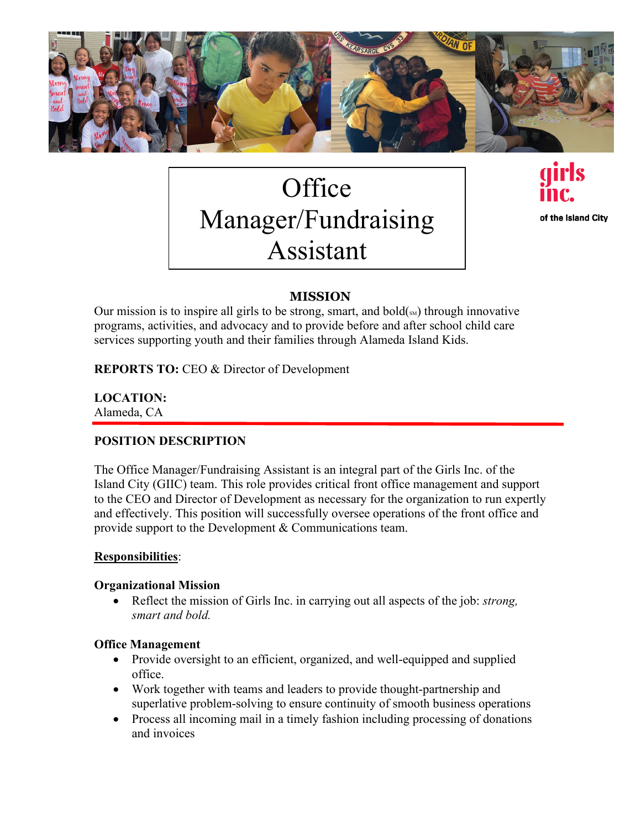

# **Office** Manager/Fundraising Assistant

of the Island City

# **MISSION**

Our mission is to inspire all girls to be strong, smart, and bold $(\mathbf{S}_{\text{SM}})$  through innovative programs, activities, and advocacy and to provide before and after school child care services supporting youth and their families through Alameda Island Kids.

**REPORTS TO: CEO & Director of Development** 

**LOCATION:**  Alameda, CA

# **POSITION DESCRIPTION**

The Office Manager/Fundraising Assistant is an integral part of the Girls Inc. of the Island City (GIIC) team. This role provides critical front office management and support to the CEO and Director of Development as necessary for the organization to run expertly and effectively. This position will successfully oversee operations of the front office and provide support to the Development & Communications team.

## **Responsibilities**:

#### **Organizational Mission**

• Reflect the mission of Girls Inc. in carrying out all aspects of the job: *strong, smart and bold.*

#### **Office Management**

- Provide oversight to an efficient, organized, and well-equipped and supplied office.
- Work together with teams and leaders to provide thought-partnership and superlative problem-solving to ensure continuity of smooth business operations
- Process all incoming mail in a timely fashion including processing of donations and invoices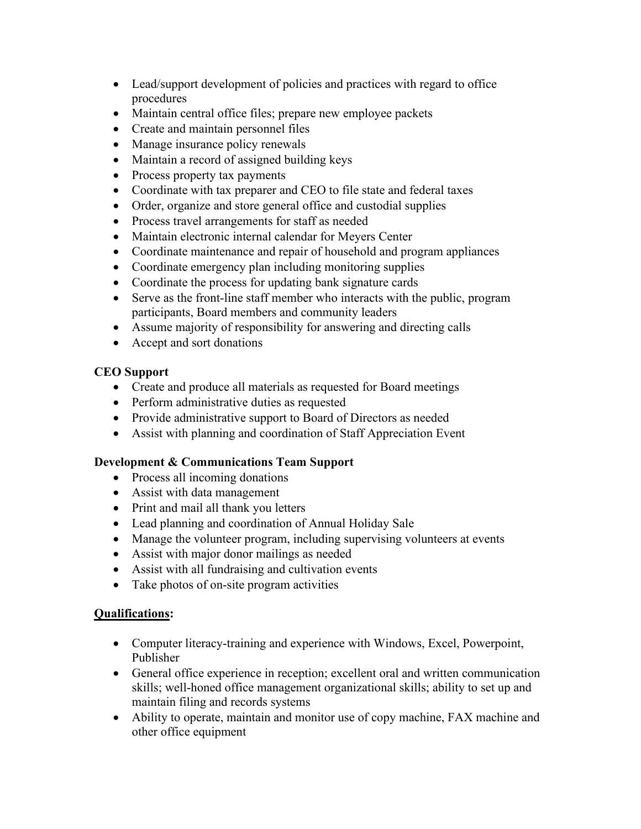- Lead/support development of policies and practices with regard to office procedures
- Maintain central office files; prepare new employee packets
- Create and maintain personnel files
- Manage insurance policy renewals
- Maintain a record of assigned building keys
- Process property tax payments
- Coordinate with tax preparer and CEO to file state and federal taxes
- Order, organize and store general office and custodial supplies
- Process travel arrangements for staff as needed
- Maintain electronic internal calendar for Meyers Center
- Coordinate maintenance and repair of household and program appliances
- Coordinate emergency plan including monitoring supplies
- Coordinate the process for updating bank signature cards
- Serve as the front-line staff member who interacts with the public, program participants, Board members and community leaders
- Assume majority of responsibility for answering and directing calls
- Accept and sort donations

## **CEO Support**

- Create and produce all materials as requested for Board meetings
- Perform administrative duties as requested
- Provide administrative support to Board of Directors as needed
- Assist with planning and coordination of Staff Appreciation Event

## **Development & Communications Team Support**

- Process all incoming donations
- Assist with data management
- Print and mail all thank you letters
- Lead planning and coordination of Annual Holiday Sale
- Manage the volunteer program, including supervising volunteers at events
- Assist with major donor mailings as needed
- Assist with all fundraising and cultivation events
- Take photos of on-site program activities

## **Qualifications:**

- Computer literacy-training and experience with Windows, Excel, Powerpoint, Publisher
- General office experience in reception; excellent oral and written communication skills; well-honed office management organizational skills; ability to set up and maintain filing and records systems
- Ability to operate, maintain and monitor use of copy machine, FAX machine and other office equipment